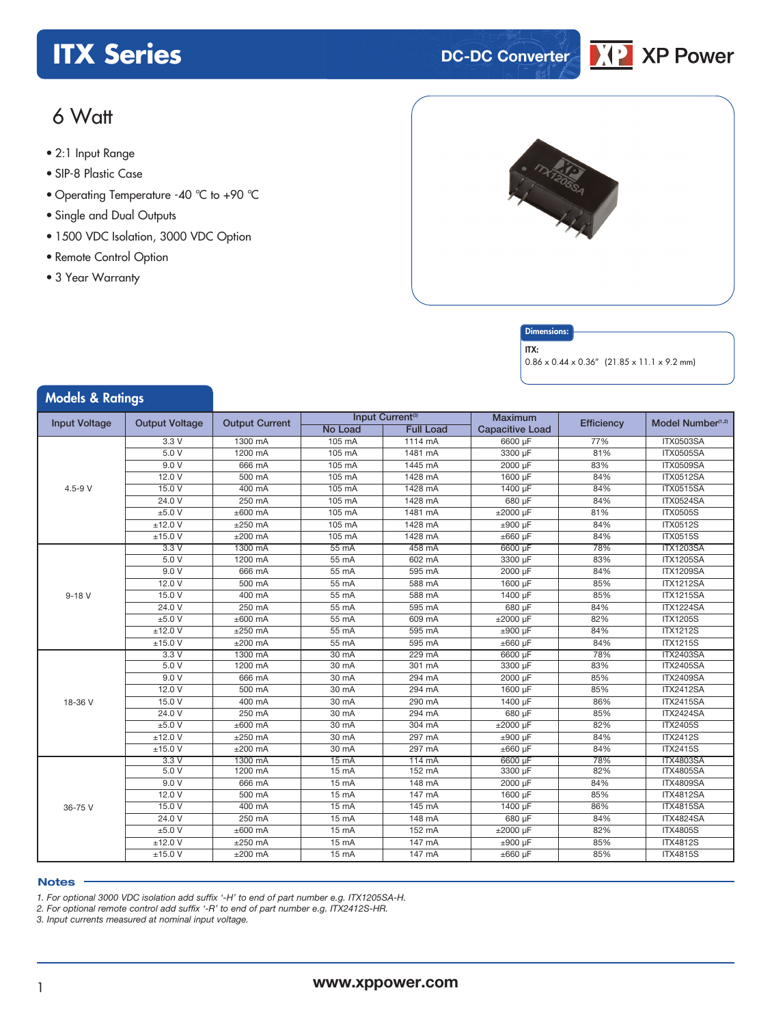## **ITX** Series **DC-DC** Converter



### 6 Watt

- **xxx Series** 2:1 Input Range
- SIP-8 Plastic Case
- Operating Temperature -40 °C to +90 °C
- Single and Dual Outputs
- 1500 VDC Isolation, 3000 VDC Option
- Remote Control Option
- 3 Year Warranty

Models & Ratings



### **Dimensions**

ITX:

0.86 x 0.44 x 0.36" (21.85 x 11.1 x 9.2 mm)

| Input Current <sup>(3)</sup><br><b>Maximum</b><br><b>Input Voltage</b><br><b>Output Voltage</b><br><b>Output Current</b><br>Model Number <sup>(1,2)</sup><br>Efficiency<br><b>No Load</b><br><b>Full Load</b><br><b>Capacitive Load</b><br>105 mA<br>$1114 \text{ mA}$<br>6600 µF<br>77%<br>3.3V<br>1300 mA<br><b>ITX0503SA</b><br>5.0V<br>3300 µF<br>81%<br>1200 mA<br>105 mA<br>1481 mA<br><b>ITX0505SA</b><br>9.0V<br>2000 µF<br>83%<br>666 mA<br>105 mA<br>1445 mA<br><b>ITX0509SA</b><br>12.0V<br>1428 mA<br>1600 µF<br>84%<br><b>ITX0512SA</b><br>500 mA<br>105 mA<br>15.0V<br>1428 mA<br>84%<br>$4.5 - 9 V$<br>400 mA<br>105 mA<br>1400 µF<br><b>ITX0515SA</b><br>24.0 V<br>250 mA<br>105 mA<br>1428 mA<br>84%<br><b>ITX0524SA</b><br>680 µF<br>±5.0V<br>$±600$ mA<br>105 mA<br>1481 mA<br>81%<br><b>ITX0505S</b><br>±2000 µF<br>$±12.0$ V<br>$±250$ mA<br>105 mA<br>1428 mA<br>84%<br><b>ITX0512S</b><br>±900 µF<br>±15.0 V<br>$±200$ mA<br>1428 mA<br>±660 µF<br>84%<br><b>ITX0515S</b><br>105 mA<br>78%<br>3.3V<br>1300 mA<br>55 mA<br>458 mA<br>6600 µF<br><b>ITX1203SA</b><br>5.0 V<br>1200 mA<br>55 mA<br>602 mA<br>3300 µF<br>83%<br><b>ITX1205SA</b><br>9.0V<br>595 mA<br>84%<br>666 mA<br>55 mA<br>2000 µF<br><b>ITX1209SA</b><br>12.0V<br>588 mA<br>85%<br>500 mA<br>55 mA<br>1600 µF<br><b>ITX1212SA</b><br>15.0V<br>400 mA<br>55 mA<br>588 mA<br>1400 µF<br>85%<br><b>ITX1215SA</b><br>$9 - 18V$<br>24.0V<br>250 mA<br>595 mA<br>680 µF<br>84%<br>55 mA<br><b>ITX1224SA</b><br>±5.0V<br>$±600$ mA<br>55 mA<br>609 mA<br>±2000 µF<br>82%<br><b>ITX1205S</b><br>±12.0 V<br>$±250$ mA<br>595 mA<br><b>ITX1212S</b><br>$55 \text{ mA}$<br>±900 µF<br>84%<br>±15.0 V<br>$±200$ mA<br>595 mA<br><b>ITX1215S</b><br>55 mA<br>±660 µF<br>84%<br>78%<br>3.3V<br>1300 mA<br>$30 \text{ mA}$<br>229 mA<br>6600 µF<br><b>ITX2403SA</b><br>5.0V<br>1200 mA<br>83%<br><b>ITX2405SA</b><br>30 mA<br>301 mA<br>3300 µF<br>9.0V<br>294 mA<br>85%<br><b>ITX2409SA</b><br>666 mA<br>30 mA<br>2000 µF<br>12.0V<br>$30 \text{ mA}$<br>294 mA<br>1600 µF<br>85%<br>500 mA<br><b>ITX2412SA</b><br>15.0V<br>400 mA<br>30 mA<br>290 mA<br>1400 µF<br>86%<br><b>ITX2415SA</b><br>18-36 V<br>24.0V<br>250 mA<br>294 mA<br>30 mA<br>680 µF<br>85%<br><b>ITX2424SA</b><br>±5.0V<br>$±600$ mA<br>82%<br>30 mA<br>304 mA<br>±2000 µF<br><b>ITX2405S</b><br>±12.0 V<br>$±250$ mA<br>297 mA<br><b>ITX2412S</b><br>30 mA<br>$±900 \mu F$<br>84%<br>297 mA<br>±15.0 V<br>$±200$ mA<br>30 mA<br>±660 µF<br>84%<br><b>ITX2415S</b><br>78%<br>3.3V<br>1300 mA<br>$15 \text{ mA}$<br>6600 µF<br><b>ITX4803SA</b><br>114 mA<br>5.0V<br>1200 mA<br>152 mA<br>82%<br><b>ITX4805SA</b><br>15 mA<br>3300 µF<br>9.0V<br>84%<br>666 mA<br>15 mA<br>148 mA<br>2000 µF<br><b>ITX4809SA</b><br>12.0V<br>$147 \text{ mA}$<br>1600 µF<br>85%<br><b>ITX4812SA</b><br>500 mA<br>$15 \text{ mA}$<br>15.0V<br>400 mA<br>$145 \text{ mA}$<br><b>ITX4815SA</b><br>$15 \text{ mA}$<br>1400 µF<br>86%<br>36-75 V<br>24.0 V<br>250 mA<br>15 mA<br>148 mA<br>680 µF<br>84%<br><b>ITX4824SA</b><br>±5.0 V<br>$152 \text{ mA}$<br>82%<br>$±600$ mA<br>15 mA<br>±2000 µF<br><b>ITX4805S</b><br>±12.0 V<br>$\pm 250$ mA<br>15 mA<br>$147 \text{ mA}$<br>±900 µF<br>85%<br><b>ITX4812S</b><br>±15.0 V<br>$±200$ mA<br>$15 \text{ mA}$<br>147 mA<br>$\pm 660$ µF<br>85%<br><b>ITX4815S</b> | <b><i>INIOGEIS &amp; KATINGS</i></b> |  |  |  |  |
|--------------------------------------------------------------------------------------------------------------------------------------------------------------------------------------------------------------------------------------------------------------------------------------------------------------------------------------------------------------------------------------------------------------------------------------------------------------------------------------------------------------------------------------------------------------------------------------------------------------------------------------------------------------------------------------------------------------------------------------------------------------------------------------------------------------------------------------------------------------------------------------------------------------------------------------------------------------------------------------------------------------------------------------------------------------------------------------------------------------------------------------------------------------------------------------------------------------------------------------------------------------------------------------------------------------------------------------------------------------------------------------------------------------------------------------------------------------------------------------------------------------------------------------------------------------------------------------------------------------------------------------------------------------------------------------------------------------------------------------------------------------------------------------------------------------------------------------------------------------------------------------------------------------------------------------------------------------------------------------------------------------------------------------------------------------------------------------------------------------------------------------------------------------------------------------------------------------------------------------------------------------------------------------------------------------------------------------------------------------------------------------------------------------------------------------------------------------------------------------------------------------------------------------------------------------------------------------------------------------------------------------------------------------------------------------------------------------------------------------------------------------------------------------------------------------------------------------------------------------------------------------------------------------------------------------------------------------------------------------------------------------------------------------------------------------------------------------------------------------------------------------------------------------------------------------------------------------------------------------------------------------------------------------------------------------------------------------------|--------------------------------------|--|--|--|--|
|                                                                                                                                                                                                                                                                                                                                                                                                                                                                                                                                                                                                                                                                                                                                                                                                                                                                                                                                                                                                                                                                                                                                                                                                                                                                                                                                                                                                                                                                                                                                                                                                                                                                                                                                                                                                                                                                                                                                                                                                                                                                                                                                                                                                                                                                                                                                                                                                                                                                                                                                                                                                                                                                                                                                                                                                                                                                                                                                                                                                                                                                                                                                                                                                                                                                                                                                            |                                      |  |  |  |  |
|                                                                                                                                                                                                                                                                                                                                                                                                                                                                                                                                                                                                                                                                                                                                                                                                                                                                                                                                                                                                                                                                                                                                                                                                                                                                                                                                                                                                                                                                                                                                                                                                                                                                                                                                                                                                                                                                                                                                                                                                                                                                                                                                                                                                                                                                                                                                                                                                                                                                                                                                                                                                                                                                                                                                                                                                                                                                                                                                                                                                                                                                                                                                                                                                                                                                                                                                            |                                      |  |  |  |  |
|                                                                                                                                                                                                                                                                                                                                                                                                                                                                                                                                                                                                                                                                                                                                                                                                                                                                                                                                                                                                                                                                                                                                                                                                                                                                                                                                                                                                                                                                                                                                                                                                                                                                                                                                                                                                                                                                                                                                                                                                                                                                                                                                                                                                                                                                                                                                                                                                                                                                                                                                                                                                                                                                                                                                                                                                                                                                                                                                                                                                                                                                                                                                                                                                                                                                                                                                            |                                      |  |  |  |  |
|                                                                                                                                                                                                                                                                                                                                                                                                                                                                                                                                                                                                                                                                                                                                                                                                                                                                                                                                                                                                                                                                                                                                                                                                                                                                                                                                                                                                                                                                                                                                                                                                                                                                                                                                                                                                                                                                                                                                                                                                                                                                                                                                                                                                                                                                                                                                                                                                                                                                                                                                                                                                                                                                                                                                                                                                                                                                                                                                                                                                                                                                                                                                                                                                                                                                                                                                            |                                      |  |  |  |  |
|                                                                                                                                                                                                                                                                                                                                                                                                                                                                                                                                                                                                                                                                                                                                                                                                                                                                                                                                                                                                                                                                                                                                                                                                                                                                                                                                                                                                                                                                                                                                                                                                                                                                                                                                                                                                                                                                                                                                                                                                                                                                                                                                                                                                                                                                                                                                                                                                                                                                                                                                                                                                                                                                                                                                                                                                                                                                                                                                                                                                                                                                                                                                                                                                                                                                                                                                            |                                      |  |  |  |  |
|                                                                                                                                                                                                                                                                                                                                                                                                                                                                                                                                                                                                                                                                                                                                                                                                                                                                                                                                                                                                                                                                                                                                                                                                                                                                                                                                                                                                                                                                                                                                                                                                                                                                                                                                                                                                                                                                                                                                                                                                                                                                                                                                                                                                                                                                                                                                                                                                                                                                                                                                                                                                                                                                                                                                                                                                                                                                                                                                                                                                                                                                                                                                                                                                                                                                                                                                            |                                      |  |  |  |  |
|                                                                                                                                                                                                                                                                                                                                                                                                                                                                                                                                                                                                                                                                                                                                                                                                                                                                                                                                                                                                                                                                                                                                                                                                                                                                                                                                                                                                                                                                                                                                                                                                                                                                                                                                                                                                                                                                                                                                                                                                                                                                                                                                                                                                                                                                                                                                                                                                                                                                                                                                                                                                                                                                                                                                                                                                                                                                                                                                                                                                                                                                                                                                                                                                                                                                                                                                            |                                      |  |  |  |  |
|                                                                                                                                                                                                                                                                                                                                                                                                                                                                                                                                                                                                                                                                                                                                                                                                                                                                                                                                                                                                                                                                                                                                                                                                                                                                                                                                                                                                                                                                                                                                                                                                                                                                                                                                                                                                                                                                                                                                                                                                                                                                                                                                                                                                                                                                                                                                                                                                                                                                                                                                                                                                                                                                                                                                                                                                                                                                                                                                                                                                                                                                                                                                                                                                                                                                                                                                            |                                      |  |  |  |  |
|                                                                                                                                                                                                                                                                                                                                                                                                                                                                                                                                                                                                                                                                                                                                                                                                                                                                                                                                                                                                                                                                                                                                                                                                                                                                                                                                                                                                                                                                                                                                                                                                                                                                                                                                                                                                                                                                                                                                                                                                                                                                                                                                                                                                                                                                                                                                                                                                                                                                                                                                                                                                                                                                                                                                                                                                                                                                                                                                                                                                                                                                                                                                                                                                                                                                                                                                            |                                      |  |  |  |  |
|                                                                                                                                                                                                                                                                                                                                                                                                                                                                                                                                                                                                                                                                                                                                                                                                                                                                                                                                                                                                                                                                                                                                                                                                                                                                                                                                                                                                                                                                                                                                                                                                                                                                                                                                                                                                                                                                                                                                                                                                                                                                                                                                                                                                                                                                                                                                                                                                                                                                                                                                                                                                                                                                                                                                                                                                                                                                                                                                                                                                                                                                                                                                                                                                                                                                                                                                            |                                      |  |  |  |  |
|                                                                                                                                                                                                                                                                                                                                                                                                                                                                                                                                                                                                                                                                                                                                                                                                                                                                                                                                                                                                                                                                                                                                                                                                                                                                                                                                                                                                                                                                                                                                                                                                                                                                                                                                                                                                                                                                                                                                                                                                                                                                                                                                                                                                                                                                                                                                                                                                                                                                                                                                                                                                                                                                                                                                                                                                                                                                                                                                                                                                                                                                                                                                                                                                                                                                                                                                            |                                      |  |  |  |  |
|                                                                                                                                                                                                                                                                                                                                                                                                                                                                                                                                                                                                                                                                                                                                                                                                                                                                                                                                                                                                                                                                                                                                                                                                                                                                                                                                                                                                                                                                                                                                                                                                                                                                                                                                                                                                                                                                                                                                                                                                                                                                                                                                                                                                                                                                                                                                                                                                                                                                                                                                                                                                                                                                                                                                                                                                                                                                                                                                                                                                                                                                                                                                                                                                                                                                                                                                            |                                      |  |  |  |  |
|                                                                                                                                                                                                                                                                                                                                                                                                                                                                                                                                                                                                                                                                                                                                                                                                                                                                                                                                                                                                                                                                                                                                                                                                                                                                                                                                                                                                                                                                                                                                                                                                                                                                                                                                                                                                                                                                                                                                                                                                                                                                                                                                                                                                                                                                                                                                                                                                                                                                                                                                                                                                                                                                                                                                                                                                                                                                                                                                                                                                                                                                                                                                                                                                                                                                                                                                            |                                      |  |  |  |  |
|                                                                                                                                                                                                                                                                                                                                                                                                                                                                                                                                                                                                                                                                                                                                                                                                                                                                                                                                                                                                                                                                                                                                                                                                                                                                                                                                                                                                                                                                                                                                                                                                                                                                                                                                                                                                                                                                                                                                                                                                                                                                                                                                                                                                                                                                                                                                                                                                                                                                                                                                                                                                                                                                                                                                                                                                                                                                                                                                                                                                                                                                                                                                                                                                                                                                                                                                            |                                      |  |  |  |  |
|                                                                                                                                                                                                                                                                                                                                                                                                                                                                                                                                                                                                                                                                                                                                                                                                                                                                                                                                                                                                                                                                                                                                                                                                                                                                                                                                                                                                                                                                                                                                                                                                                                                                                                                                                                                                                                                                                                                                                                                                                                                                                                                                                                                                                                                                                                                                                                                                                                                                                                                                                                                                                                                                                                                                                                                                                                                                                                                                                                                                                                                                                                                                                                                                                                                                                                                                            |                                      |  |  |  |  |
|                                                                                                                                                                                                                                                                                                                                                                                                                                                                                                                                                                                                                                                                                                                                                                                                                                                                                                                                                                                                                                                                                                                                                                                                                                                                                                                                                                                                                                                                                                                                                                                                                                                                                                                                                                                                                                                                                                                                                                                                                                                                                                                                                                                                                                                                                                                                                                                                                                                                                                                                                                                                                                                                                                                                                                                                                                                                                                                                                                                                                                                                                                                                                                                                                                                                                                                                            |                                      |  |  |  |  |
|                                                                                                                                                                                                                                                                                                                                                                                                                                                                                                                                                                                                                                                                                                                                                                                                                                                                                                                                                                                                                                                                                                                                                                                                                                                                                                                                                                                                                                                                                                                                                                                                                                                                                                                                                                                                                                                                                                                                                                                                                                                                                                                                                                                                                                                                                                                                                                                                                                                                                                                                                                                                                                                                                                                                                                                                                                                                                                                                                                                                                                                                                                                                                                                                                                                                                                                                            |                                      |  |  |  |  |
|                                                                                                                                                                                                                                                                                                                                                                                                                                                                                                                                                                                                                                                                                                                                                                                                                                                                                                                                                                                                                                                                                                                                                                                                                                                                                                                                                                                                                                                                                                                                                                                                                                                                                                                                                                                                                                                                                                                                                                                                                                                                                                                                                                                                                                                                                                                                                                                                                                                                                                                                                                                                                                                                                                                                                                                                                                                                                                                                                                                                                                                                                                                                                                                                                                                                                                                                            |                                      |  |  |  |  |
|                                                                                                                                                                                                                                                                                                                                                                                                                                                                                                                                                                                                                                                                                                                                                                                                                                                                                                                                                                                                                                                                                                                                                                                                                                                                                                                                                                                                                                                                                                                                                                                                                                                                                                                                                                                                                                                                                                                                                                                                                                                                                                                                                                                                                                                                                                                                                                                                                                                                                                                                                                                                                                                                                                                                                                                                                                                                                                                                                                                                                                                                                                                                                                                                                                                                                                                                            |                                      |  |  |  |  |
|                                                                                                                                                                                                                                                                                                                                                                                                                                                                                                                                                                                                                                                                                                                                                                                                                                                                                                                                                                                                                                                                                                                                                                                                                                                                                                                                                                                                                                                                                                                                                                                                                                                                                                                                                                                                                                                                                                                                                                                                                                                                                                                                                                                                                                                                                                                                                                                                                                                                                                                                                                                                                                                                                                                                                                                                                                                                                                                                                                                                                                                                                                                                                                                                                                                                                                                                            |                                      |  |  |  |  |
|                                                                                                                                                                                                                                                                                                                                                                                                                                                                                                                                                                                                                                                                                                                                                                                                                                                                                                                                                                                                                                                                                                                                                                                                                                                                                                                                                                                                                                                                                                                                                                                                                                                                                                                                                                                                                                                                                                                                                                                                                                                                                                                                                                                                                                                                                                                                                                                                                                                                                                                                                                                                                                                                                                                                                                                                                                                                                                                                                                                                                                                                                                                                                                                                                                                                                                                                            |                                      |  |  |  |  |
|                                                                                                                                                                                                                                                                                                                                                                                                                                                                                                                                                                                                                                                                                                                                                                                                                                                                                                                                                                                                                                                                                                                                                                                                                                                                                                                                                                                                                                                                                                                                                                                                                                                                                                                                                                                                                                                                                                                                                                                                                                                                                                                                                                                                                                                                                                                                                                                                                                                                                                                                                                                                                                                                                                                                                                                                                                                                                                                                                                                                                                                                                                                                                                                                                                                                                                                                            |                                      |  |  |  |  |
|                                                                                                                                                                                                                                                                                                                                                                                                                                                                                                                                                                                                                                                                                                                                                                                                                                                                                                                                                                                                                                                                                                                                                                                                                                                                                                                                                                                                                                                                                                                                                                                                                                                                                                                                                                                                                                                                                                                                                                                                                                                                                                                                                                                                                                                                                                                                                                                                                                                                                                                                                                                                                                                                                                                                                                                                                                                                                                                                                                                                                                                                                                                                                                                                                                                                                                                                            |                                      |  |  |  |  |
|                                                                                                                                                                                                                                                                                                                                                                                                                                                                                                                                                                                                                                                                                                                                                                                                                                                                                                                                                                                                                                                                                                                                                                                                                                                                                                                                                                                                                                                                                                                                                                                                                                                                                                                                                                                                                                                                                                                                                                                                                                                                                                                                                                                                                                                                                                                                                                                                                                                                                                                                                                                                                                                                                                                                                                                                                                                                                                                                                                                                                                                                                                                                                                                                                                                                                                                                            |                                      |  |  |  |  |
|                                                                                                                                                                                                                                                                                                                                                                                                                                                                                                                                                                                                                                                                                                                                                                                                                                                                                                                                                                                                                                                                                                                                                                                                                                                                                                                                                                                                                                                                                                                                                                                                                                                                                                                                                                                                                                                                                                                                                                                                                                                                                                                                                                                                                                                                                                                                                                                                                                                                                                                                                                                                                                                                                                                                                                                                                                                                                                                                                                                                                                                                                                                                                                                                                                                                                                                                            |                                      |  |  |  |  |
|                                                                                                                                                                                                                                                                                                                                                                                                                                                                                                                                                                                                                                                                                                                                                                                                                                                                                                                                                                                                                                                                                                                                                                                                                                                                                                                                                                                                                                                                                                                                                                                                                                                                                                                                                                                                                                                                                                                                                                                                                                                                                                                                                                                                                                                                                                                                                                                                                                                                                                                                                                                                                                                                                                                                                                                                                                                                                                                                                                                                                                                                                                                                                                                                                                                                                                                                            |                                      |  |  |  |  |
|                                                                                                                                                                                                                                                                                                                                                                                                                                                                                                                                                                                                                                                                                                                                                                                                                                                                                                                                                                                                                                                                                                                                                                                                                                                                                                                                                                                                                                                                                                                                                                                                                                                                                                                                                                                                                                                                                                                                                                                                                                                                                                                                                                                                                                                                                                                                                                                                                                                                                                                                                                                                                                                                                                                                                                                                                                                                                                                                                                                                                                                                                                                                                                                                                                                                                                                                            |                                      |  |  |  |  |
|                                                                                                                                                                                                                                                                                                                                                                                                                                                                                                                                                                                                                                                                                                                                                                                                                                                                                                                                                                                                                                                                                                                                                                                                                                                                                                                                                                                                                                                                                                                                                                                                                                                                                                                                                                                                                                                                                                                                                                                                                                                                                                                                                                                                                                                                                                                                                                                                                                                                                                                                                                                                                                                                                                                                                                                                                                                                                                                                                                                                                                                                                                                                                                                                                                                                                                                                            |                                      |  |  |  |  |
|                                                                                                                                                                                                                                                                                                                                                                                                                                                                                                                                                                                                                                                                                                                                                                                                                                                                                                                                                                                                                                                                                                                                                                                                                                                                                                                                                                                                                                                                                                                                                                                                                                                                                                                                                                                                                                                                                                                                                                                                                                                                                                                                                                                                                                                                                                                                                                                                                                                                                                                                                                                                                                                                                                                                                                                                                                                                                                                                                                                                                                                                                                                                                                                                                                                                                                                                            |                                      |  |  |  |  |
|                                                                                                                                                                                                                                                                                                                                                                                                                                                                                                                                                                                                                                                                                                                                                                                                                                                                                                                                                                                                                                                                                                                                                                                                                                                                                                                                                                                                                                                                                                                                                                                                                                                                                                                                                                                                                                                                                                                                                                                                                                                                                                                                                                                                                                                                                                                                                                                                                                                                                                                                                                                                                                                                                                                                                                                                                                                                                                                                                                                                                                                                                                                                                                                                                                                                                                                                            |                                      |  |  |  |  |
|                                                                                                                                                                                                                                                                                                                                                                                                                                                                                                                                                                                                                                                                                                                                                                                                                                                                                                                                                                                                                                                                                                                                                                                                                                                                                                                                                                                                                                                                                                                                                                                                                                                                                                                                                                                                                                                                                                                                                                                                                                                                                                                                                                                                                                                                                                                                                                                                                                                                                                                                                                                                                                                                                                                                                                                                                                                                                                                                                                                                                                                                                                                                                                                                                                                                                                                                            |                                      |  |  |  |  |
|                                                                                                                                                                                                                                                                                                                                                                                                                                                                                                                                                                                                                                                                                                                                                                                                                                                                                                                                                                                                                                                                                                                                                                                                                                                                                                                                                                                                                                                                                                                                                                                                                                                                                                                                                                                                                                                                                                                                                                                                                                                                                                                                                                                                                                                                                                                                                                                                                                                                                                                                                                                                                                                                                                                                                                                                                                                                                                                                                                                                                                                                                                                                                                                                                                                                                                                                            |                                      |  |  |  |  |
|                                                                                                                                                                                                                                                                                                                                                                                                                                                                                                                                                                                                                                                                                                                                                                                                                                                                                                                                                                                                                                                                                                                                                                                                                                                                                                                                                                                                                                                                                                                                                                                                                                                                                                                                                                                                                                                                                                                                                                                                                                                                                                                                                                                                                                                                                                                                                                                                                                                                                                                                                                                                                                                                                                                                                                                                                                                                                                                                                                                                                                                                                                                                                                                                                                                                                                                                            |                                      |  |  |  |  |
|                                                                                                                                                                                                                                                                                                                                                                                                                                                                                                                                                                                                                                                                                                                                                                                                                                                                                                                                                                                                                                                                                                                                                                                                                                                                                                                                                                                                                                                                                                                                                                                                                                                                                                                                                                                                                                                                                                                                                                                                                                                                                                                                                                                                                                                                                                                                                                                                                                                                                                                                                                                                                                                                                                                                                                                                                                                                                                                                                                                                                                                                                                                                                                                                                                                                                                                                            |                                      |  |  |  |  |
|                                                                                                                                                                                                                                                                                                                                                                                                                                                                                                                                                                                                                                                                                                                                                                                                                                                                                                                                                                                                                                                                                                                                                                                                                                                                                                                                                                                                                                                                                                                                                                                                                                                                                                                                                                                                                                                                                                                                                                                                                                                                                                                                                                                                                                                                                                                                                                                                                                                                                                                                                                                                                                                                                                                                                                                                                                                                                                                                                                                                                                                                                                                                                                                                                                                                                                                                            |                                      |  |  |  |  |
|                                                                                                                                                                                                                                                                                                                                                                                                                                                                                                                                                                                                                                                                                                                                                                                                                                                                                                                                                                                                                                                                                                                                                                                                                                                                                                                                                                                                                                                                                                                                                                                                                                                                                                                                                                                                                                                                                                                                                                                                                                                                                                                                                                                                                                                                                                                                                                                                                                                                                                                                                                                                                                                                                                                                                                                                                                                                                                                                                                                                                                                                                                                                                                                                                                                                                                                                            |                                      |  |  |  |  |
|                                                                                                                                                                                                                                                                                                                                                                                                                                                                                                                                                                                                                                                                                                                                                                                                                                                                                                                                                                                                                                                                                                                                                                                                                                                                                                                                                                                                                                                                                                                                                                                                                                                                                                                                                                                                                                                                                                                                                                                                                                                                                                                                                                                                                                                                                                                                                                                                                                                                                                                                                                                                                                                                                                                                                                                                                                                                                                                                                                                                                                                                                                                                                                                                                                                                                                                                            |                                      |  |  |  |  |
|                                                                                                                                                                                                                                                                                                                                                                                                                                                                                                                                                                                                                                                                                                                                                                                                                                                                                                                                                                                                                                                                                                                                                                                                                                                                                                                                                                                                                                                                                                                                                                                                                                                                                                                                                                                                                                                                                                                                                                                                                                                                                                                                                                                                                                                                                                                                                                                                                                                                                                                                                                                                                                                                                                                                                                                                                                                                                                                                                                                                                                                                                                                                                                                                                                                                                                                                            |                                      |  |  |  |  |

#### **Notes**

*1. For optional 3000 VDC isolation add suffix '-H' to end of part number e.g. ITX1205SA-H.*

*2. For optional remote control add suffix '-R' to end of part number e.g. ITX2412S-HR.*

*3. Input currents measured at nominal input voltage.*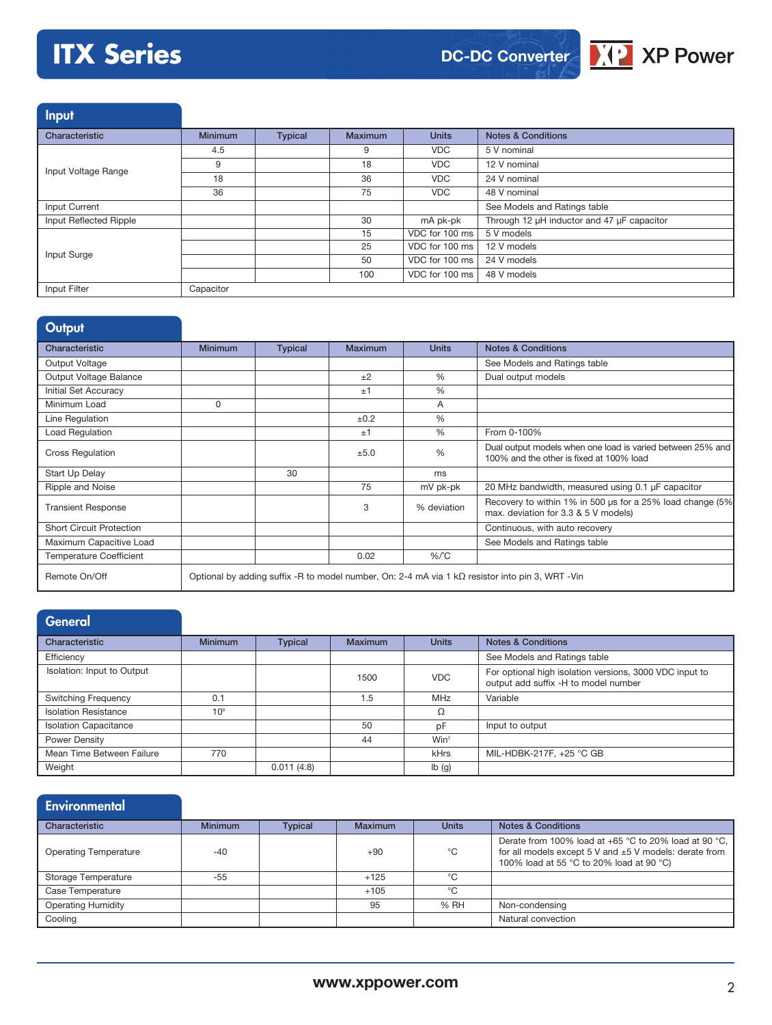# **ITX Series**



Input

| Characteristic         | <b>Minimum</b> | <b>Typical</b> | Maximum | <b>Units</b>   | <b>Notes &amp; Conditions</b>              |
|------------------------|----------------|----------------|---------|----------------|--------------------------------------------|
|                        | 4.5            |                | 9       | <b>VDC</b>     | 5 V nominal                                |
| Input Voltage Range    | 9              |                | 18      | <b>VDC</b>     | 12 V nominal                               |
|                        | 18             |                | 36      | <b>VDC</b>     | 24 V nominal                               |
|                        | 36             |                | 75      | <b>VDC</b>     | 48 V nominal                               |
| Input Current          |                |                |         |                | See Models and Ratings table               |
| Input Reflected Ripple |                |                | 30      | mA pk-pk       | Through 12 µH inductor and 47 µF capacitor |
|                        |                |                | 15      | VDC for 100 ms | 5 V models                                 |
| Input Surge            |                |                | 25      | VDC for 100 ms | 12 V models                                |
|                        |                |                | 50      | VDC for 100 ms | 24 V models                                |
|                        |                |                | 100     | VDC for 100 ms | 48 V models                                |
| Input Filter           | Capacitor      |                |         |                |                                            |

| <b>Output</b>                   |                |                |                |               |                                                                                                         |
|---------------------------------|----------------|----------------|----------------|---------------|---------------------------------------------------------------------------------------------------------|
| Characteristic                  | <b>Minimum</b> | <b>Typical</b> | <b>Maximum</b> | <b>Units</b>  | <b>Notes &amp; Conditions</b>                                                                           |
| Output Voltage                  |                |                |                |               | See Models and Ratings table                                                                            |
| Output Voltage Balance          |                |                | ±2             | $\%$          | Dual output models                                                                                      |
| Initial Set Accuracy            |                |                | ±1             | $\%$          |                                                                                                         |
| Minimum Load                    | 0              |                |                | A             |                                                                                                         |
| Line Regulation                 |                |                | ±0.2           | %             |                                                                                                         |
| Load Regulation                 |                |                | ±1             | $\%$          | From 0-100%                                                                                             |
| <b>Cross Regulation</b>         |                |                | ±5.0           | $\frac{0}{0}$ | Dual output models when one load is varied between 25% and<br>100% and the other is fixed at 100% load  |
| Start Up Delay                  |                | 30             |                | ms            |                                                                                                         |
| Ripple and Noise                |                |                | 75             | mV pk-pk      | 20 MHz bandwidth, measured using 0.1 µF capacitor                                                       |
| <b>Transient Response</b>       |                |                | 3              | % deviation   | Recovery to within 1% in 500 us for a 25% load change (5%<br>max. deviation for 3.3 & 5 V models)       |
| <b>Short Circuit Protection</b> |                |                |                |               | Continuous, with auto recovery                                                                          |
| Maximum Capacitive Load         |                |                |                |               | See Models and Ratings table                                                                            |
| <b>Temperature Coefficient</b>  |                |                | 0.02           | $%$ $C$       |                                                                                                         |
| Remote On/Off                   |                |                |                |               | Optional by adding suffix -R to model number, On: 2-4 mA via 1 k $\Omega$ resistor into pin 3, WRT -Vin |

| General                      |                 |                |                |                  |                                                                                                 |
|------------------------------|-----------------|----------------|----------------|------------------|-------------------------------------------------------------------------------------------------|
| Characteristic               | <b>Minimum</b>  | <b>Typical</b> | <b>Maximum</b> | <b>Units</b>     | <b>Notes &amp; Conditions</b>                                                                   |
| Efficiency                   |                 |                |                |                  | See Models and Ratings table                                                                    |
| Isolation: Input to Output   |                 |                | 1500           | <b>VDC</b>       | For optional high isolation versions, 3000 VDC input to<br>output add suffix -H to model number |
| <b>Switching Frequency</b>   | 0.1             |                | 1.5            | MHz              | Variable                                                                                        |
| <b>Isolation Resistance</b>  | 10 <sup>9</sup> |                |                | Ω                |                                                                                                 |
| <b>Isolation Capacitance</b> |                 |                | 50             | pF               | Input to output                                                                                 |
| Power Density                |                 |                | 44             | Win <sup>3</sup> |                                                                                                 |
| Mean Time Between Failure    | 770             |                |                | kHrs             | MIL-HDBK-217F, +25 °C GB                                                                        |
| Weight                       |                 | 0.011(4.8)     |                | Ib(g)            |                                                                                                 |

### **Environmental**

| Characteristic               | <b>Minimum</b> | <b>Typical</b> | <b>Maximum</b> | <b>Units</b> | <b>Notes &amp; Conditions</b>                                                                                                                                                        |
|------------------------------|----------------|----------------|----------------|--------------|--------------------------------------------------------------------------------------------------------------------------------------------------------------------------------------|
| <b>Operating Temperature</b> | $-40$          |                | $+90$          | °C           | Derate from 100% load at $+65$ °C to 20% load at 90 °C.<br>for all models except $5 \text{ V}$ and $\pm 5 \text{ V}$ models: derate from<br>100% load at 55 °C to 20% load at 90 °C) |
| Storage Temperature          | $-55$          |                | $+125$         | ℃            |                                                                                                                                                                                      |
| Case Temperature             |                |                | $+105$         | ℃            |                                                                                                                                                                                      |
| <b>Operating Humidity</b>    |                |                | 95             | % RH         | Non-condensing                                                                                                                                                                       |
| Cooling                      |                |                |                |              | Natural convection                                                                                                                                                                   |